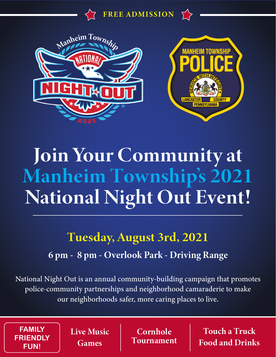





# Join Your Community at Manheim Township's 2021 National Night Out Event!

### Tuesday, August 3rd, 2021

#### 6 pm - 8 pm - Overlook Park - Driving Range

National Night Out is an annual community-building campaign that promotes police-community partnerships and neighborhood camaraderie to make our neighborhoods safer, more caring places to live.

**FAMILY FRIENDLY FUN!**

Live Music Games

**Cornhole** Tournament

Touch a Truck Food and Drinks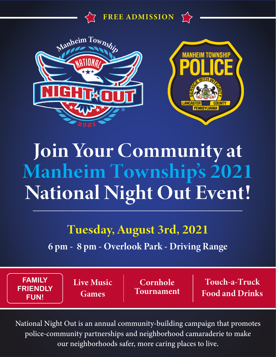





## Join Your Community at Manheim Township's 2021 National Night Out Event!

#### Tuesday, August 3rd, 2021

6 pm - 8 pm - Overlook Park - Driving Range

**FAMILY FRIENDLY FUN!**

Live Music Games

Cornhole Tournament

Touch-a-Truck Food and Drinks

National Night Out is an annual community-building campaign that promotes police-community partnerships and neighborhood camaraderie to make our neighborhoods safer, more caring places to live.